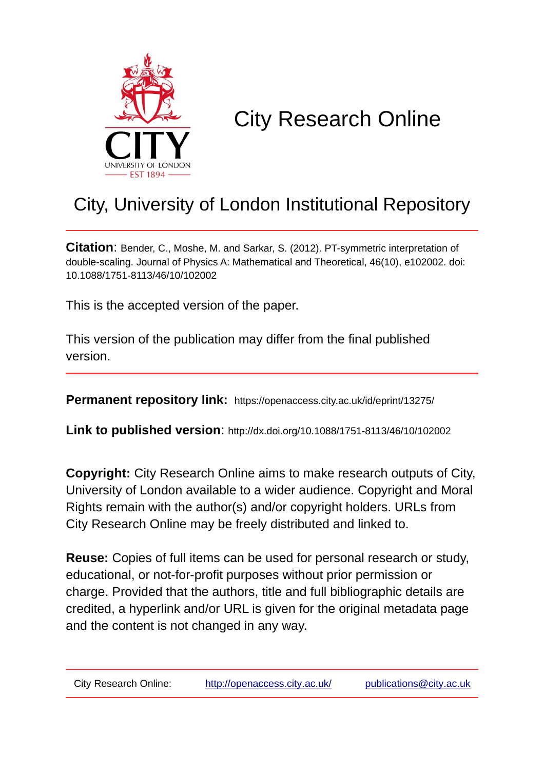

# City Research Online

## City, University of London Institutional Repository

**Citation**: Bender, C., Moshe, M. and Sarkar, S. (2012). PT-symmetric interpretation of double-scaling. Journal of Physics A: Mathematical and Theoretical, 46(10), e102002. doi: 10.1088/1751-8113/46/10/102002

This is the accepted version of the paper.

This version of the publication may differ from the final published version.

**Permanent repository link:** https://openaccess.city.ac.uk/id/eprint/13275/

**Link to published version**: http://dx.doi.org/10.1088/1751-8113/46/10/102002

**Copyright:** City Research Online aims to make research outputs of City, University of London available to a wider audience. Copyright and Moral Rights remain with the author(s) and/or copyright holders. URLs from City Research Online may be freely distributed and linked to.

**Reuse:** Copies of full items can be used for personal research or study, educational, or not-for-profit purposes without prior permission or charge. Provided that the authors, title and full bibliographic details are credited, a hyperlink and/or URL is given for the original metadata page and the content is not changed in any way.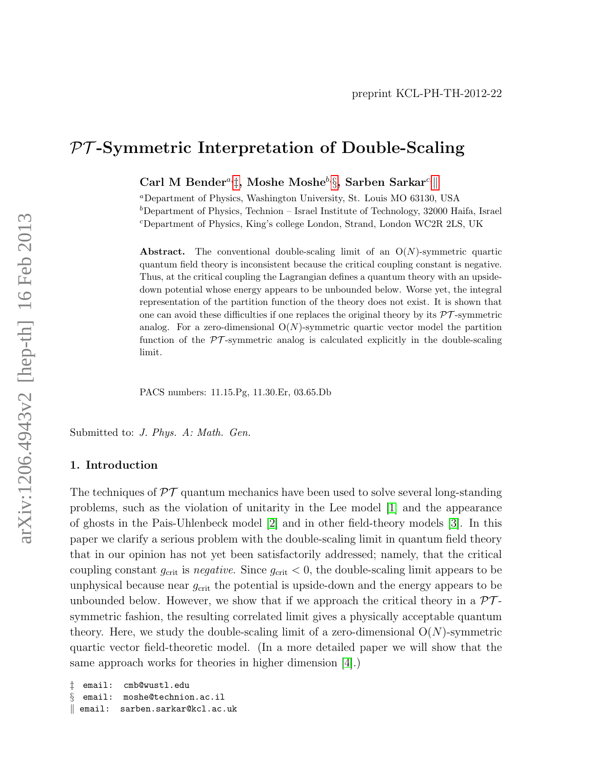### PT -Symmetric Interpretation of Double-Scaling

Carl M Bender<sup>a,</sup> $\ddagger$ , Moshe Moshe<sup>b,  $\xi$ </sup>, Sarben Sar[k](#page-1-2)ar<sup>c,||</sup>

<sup>a</sup>Department of Physics, Washington University, St. Louis MO 63130, USA  $b$ Department of Physics, Technion – Israel Institute of Technology, 32000 Haifa, Israel <sup>c</sup>Department of Physics, King's college London, Strand, London WC2R 2LS, UK

**Abstract.** The conventional double-scaling limit of an  $O(N)$ -symmetric quartic quantum field theory is inconsistent because the critical coupling constant is negative. Thus, at the critical coupling the Lagrangian defines a quantum theory with an upsidedown potential whose energy appears to be unbounded below. Worse yet, the integral representation of the partition function of the theory does not exist. It is shown that one can avoid these difficulties if one replaces the original theory by its  $\mathcal{PT}$ -symmetric analog. For a zero-dimensional  $O(N)$ -symmetric quartic vector model the partition function of the  $\mathcal{PT}$ -symmetric analog is calculated explicitly in the double-scaling limit.

PACS numbers: 11.15.Pg, 11.30.Er, 03.65.Db

Submitted to: J. Phys. A: Math. Gen.

#### 1. Introduction

The techniques of  $\mathcal{PT}$  quantum mechanics have been used to solve several long-standing problems, such as the violation of unitarity in the Lee model [\[1\]](#page-10-0) and the appearance of ghosts in the Pais-Uhlenbeck model [\[2\]](#page-10-1) and in other field-theory models [\[3\]](#page-10-2). In this paper we clarify a serious problem with the double-scaling limit in quantum field theory that in our opinion has not yet been satisfactorily addressed; namely, that the critical coupling constant  $g_{\text{crit}}$  is negative. Since  $g_{\text{crit}} < 0$ , the double-scaling limit appears to be unphysical because near  $g_{\text{crit}}$  the potential is upside-down and the energy appears to be unbounded below. However, we show that if we approach the critical theory in a  $\mathcal{PT}$ symmetric fashion, the resulting correlated limit gives a physically acceptable quantum theory. Here, we study the double-scaling limit of a zero-dimensional  $O(N)$ -symmetric quartic vector field-theoretic model. (In a more detailed paper we will show that the same approach works for theories in higher dimension [\[4\]](#page-10-3).)

```
‡ email: cmb@wustl.edu
§ email: moshe@technion.ac.il
k email: sarben.sarkar@kcl.ac.uk
```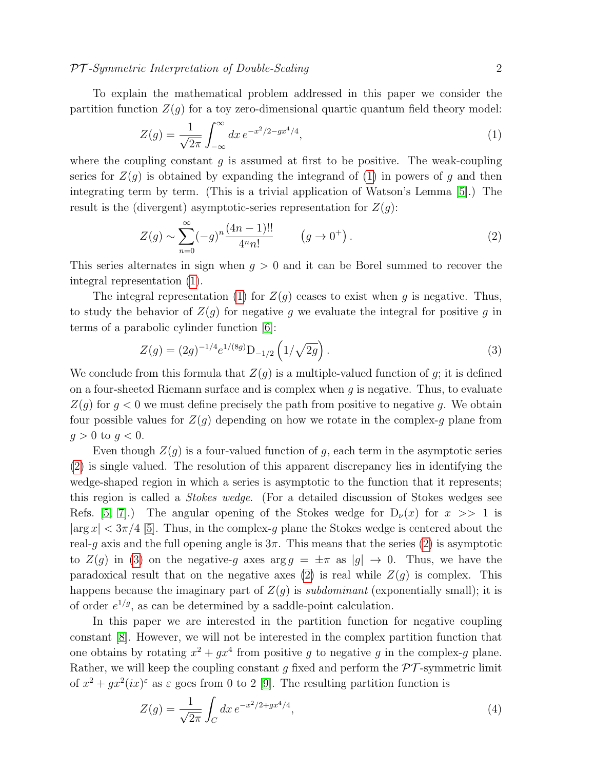#### PT-Symmetric Interpretation of Double-Scaling 2

To explain the mathematical problem addressed in this paper we consider the partition function  $Z(q)$  for a toy zero-dimensional quartic quantum field theory model:

<span id="page-2-0"></span>
$$
Z(g) = \frac{1}{\sqrt{2\pi}} \int_{-\infty}^{\infty} dx \, e^{-x^2/2 - gx^4/4},\tag{1}
$$

where the coupling constant q is assumed at first to be positive. The weak-coupling series for  $Z(q)$  is obtained by expanding the integrand of [\(1\)](#page-2-0) in powers of g and then integrating term by term. (This is a trivial application of Watson's Lemma [\[5\]](#page-10-4).) The result is the (divergent) asymptotic-series representation for  $Z(q)$ :

<span id="page-2-1"></span>
$$
Z(g) \sim \sum_{n=0}^{\infty} (-g)^n \frac{(4n-1)!!}{4^n n!} \qquad (g \to 0^+).
$$
 (2)

This series alternates in sign when  $g > 0$  and it can be Borel summed to recover the integral representation [\(1\)](#page-2-0).

The integral representation [\(1\)](#page-2-0) for  $Z(g)$  ceases to exist when g is negative. Thus, to study the behavior of  $Z(g)$  for negative g we evaluate the integral for positive g in terms of a parabolic cylinder function [\[6\]](#page-10-5):

<span id="page-2-2"></span>
$$
Z(g) = (2g)^{-1/4} e^{1/(8g)} D_{-1/2} \left( 1/\sqrt{2g} \right). \tag{3}
$$

We conclude from this formula that  $Z(g)$  is a multiple-valued function of g; it is defined on a four-sheeted Riemann surface and is complex when  $g$  is negative. Thus, to evaluate  $Z(g)$  for  $g < 0$  we must define precisely the path from positive to negative g. We obtain four possible values for  $Z(g)$  depending on how we rotate in the complex-g plane from  $g > 0$  to  $g < 0$ .

Even though  $Z(g)$  is a four-valued function of g, each term in the asymptotic series [\(2\)](#page-2-1) is single valued. The resolution of this apparent discrepancy lies in identifying the wedge-shaped region in which a series is asymptotic to the function that it represents; this region is called a Stokes wedge. (For a detailed discussion of Stokes wedges see Refs. [\[5,](#page-10-4) [7\]](#page-10-6).) The angular opening of the Stokes wedge for  $D_{\nu}(x)$  for  $x \gg 1$  is  $|\arg x| < 3\pi/4$  [\[5\]](#page-10-4). Thus, in the complex-g plane the Stokes wedge is centered about the real-g axis and the full opening angle is  $3\pi$ . This means that the series [\(2\)](#page-2-1) is asymptotic to  $Z(g)$  in [\(3\)](#page-2-2) on the negative-g axes  $\arg g = \pm \pi$  as  $|g| \to 0$ . Thus, we have the paradoxical result that on the negative axes [\(2\)](#page-2-1) is real while  $Z(g)$  is complex. This happens because the imaginary part of  $Z(q)$  is *subdominant* (exponentially small); it is of order  $e^{1/g}$ , as can be determined by a saddle-point calculation.

In this paper we are interested in the partition function for negative coupling constant [\[8\]](#page-10-7). However, we will not be interested in the complex partition function that one obtains by rotating  $x^2 + gx^4$  from positive g to negative g in the complex-g plane. Rather, we will keep the coupling constant g fixed and perform the  $\mathcal{PT}$ -symmetric limit of  $x^2 + gx^2(ix)^{\epsilon}$  as  $\varepsilon$  goes from 0 to 2 [\[9\]](#page-10-8). The resulting partition function is

$$
Z(g) = \frac{1}{\sqrt{2\pi}} \int_C dx \, e^{-x^2/2 + gx^4/4},\tag{4}
$$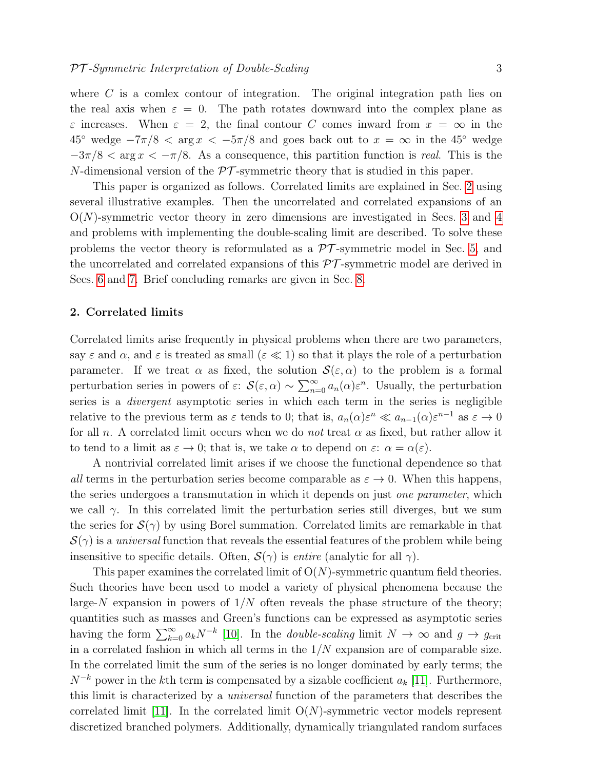where  $C$  is a comlex contour of integration. The original integration path lies on the real axis when  $\varepsilon = 0$ . The path rotates downward into the complex plane as  $\varepsilon$  increases. When  $\varepsilon = 2$ , the final contour C comes inward from  $x = \infty$  in the  $45^{\circ}$  wedge  $-7\pi/8 < \arg x < -5\pi/8$  and goes back out to  $x = \infty$  in the 45<sup>°</sup> wedge  $-3\pi/8 < \arg x < -\pi/8$ . As a consequence, this partition function is real. This is the N-dimensional version of the  $\mathcal{PT}$ -symmetric theory that is studied in this paper.

This paper is organized as follows. Correlated limits are explained in Sec. [2](#page-3-0) using several illustrative examples. Then the uncorrelated and correlated expansions of an  $O(N)$ -symmetric vector theory in zero dimensions are investigated in Secs. [3](#page-6-0) and [4](#page-7-0) and problems with implementing the double-scaling limit are described. To solve these problems the vector theory is reformulated as a  $\mathcal{PT}$ -symmetric model in Sec. [5,](#page-7-1) and the uncorrelated and correlated expansions of this  $\mathcal{PT}$ -symmetric model are derived in Secs. [6](#page-8-0) and [7.](#page-9-0) Brief concluding remarks are given in Sec. [8.](#page-10-9)

#### <span id="page-3-0"></span>2. Correlated limits

Correlated limits arise frequently in physical problems when there are two parameters, say  $\varepsilon$  and  $\alpha$ , and  $\varepsilon$  is treated as small  $(\varepsilon \ll 1)$  so that it plays the role of a perturbation parameter. If we treat  $\alpha$  as fixed, the solution  $\mathcal{S}(\varepsilon,\alpha)$  to the problem is a formal perturbation series in powers of  $\varepsilon$ :  $\mathcal{S}(\varepsilon, \alpha) \sim \sum_{n=0}^{\infty} a_n(\alpha) \varepsilon^n$ . Usually, the perturbation series is a divergent asymptotic series in which each term in the series is negligible relative to the previous term as  $\varepsilon$  tends to 0; that is,  $a_n(\alpha)\varepsilon^n \ll a_{n-1}(\alpha)\varepsilon^{n-1}$  as  $\varepsilon \to 0$ for all n. A correlated limit occurs when we do not treat  $\alpha$  as fixed, but rather allow it to tend to a limit as  $\varepsilon \to 0$ ; that is, we take  $\alpha$  to depend on  $\varepsilon$ :  $\alpha = \alpha(\varepsilon)$ .

A nontrivial correlated limit arises if we choose the functional dependence so that all terms in the perturbation series become comparable as  $\varepsilon \to 0$ . When this happens, the series undergoes a transmutation in which it depends on just *one parameter*, which we call  $\gamma$ . In this correlated limit the perturbation series still diverges, but we sum the series for  $\mathcal{S}(\gamma)$  by using Borel summation. Correlated limits are remarkable in that  $\mathcal{S}(\gamma)$  is a universal function that reveals the essential features of the problem while being insensitive to specific details. Often,  $S(\gamma)$  is *entire* (analytic for all  $\gamma$ ).

This paper examines the correlated limit of  $O(N)$ -symmetric quantum field theories. Such theories have been used to model a variety of physical phenomena because the large-N expansion in powers of  $1/N$  often reveals the phase structure of the theory; quantities such as masses and Green's functions can be expressed as asymptotic series having the form  $\sum_{k=0}^{\infty} a_k N^{-k}$  [\[10\]](#page-10-10). In the *double-scaling* limit  $N \to \infty$  and  $g \to g_{\rm crit}$ in a correlated fashion in which all terms in the  $1/N$  expansion are of comparable size. In the correlated limit the sum of the series is no longer dominated by early terms; the  $N^{-k}$  power in the kth term is compensated by a sizable coefficient  $a_k$  [\[11\]](#page-11-0). Furthermore, this limit is characterized by a universal function of the parameters that describes the correlated limit  $[11]$ . In the correlated limit  $O(N)$ -symmetric vector models represent discretized branched polymers. Additionally, dynamically triangulated random surfaces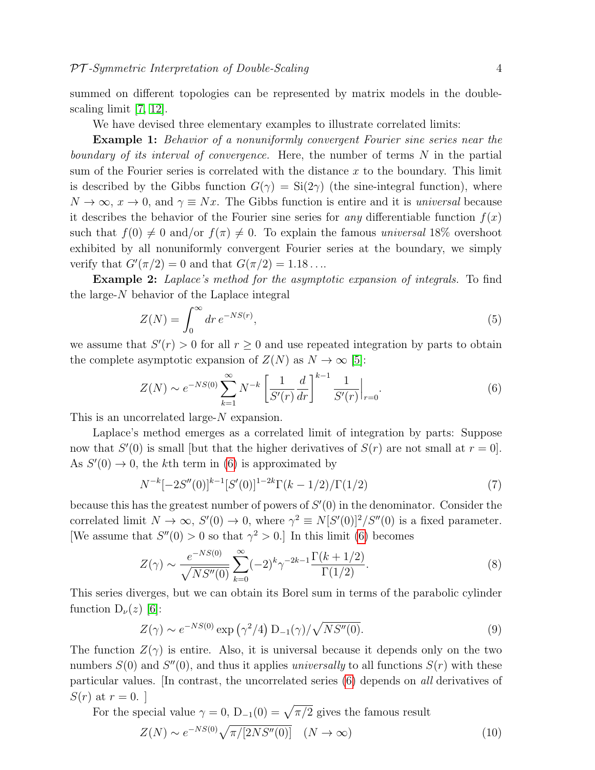summed on different topologies can be represented by matrix models in the doublescaling limit [\[7,](#page-10-6) [12\]](#page-11-1).

#### We have devised three elementary examples to illustrate correlated limits:

Example 1: Behavior of a nonuniformly convergent Fourier sine series near the boundary of its interval of convergence. Here, the number of terms  $N$  in the partial sum of the Fourier series is correlated with the distance  $x$  to the boundary. This limit is described by the Gibbs function  $G(\gamma) = \text{Si}(2\gamma)$  (the sine-integral function), where  $N \to \infty$ ,  $x \to 0$ , and  $\gamma \equiv Nx$ . The Gibbs function is entire and it is universal because it describes the behavior of the Fourier sine series for any differentiable function  $f(x)$ such that  $f(0) \neq 0$  and/or  $f(\pi) \neq 0$ . To explain the famous universal 18% overshoot exhibited by all nonuniformly convergent Fourier series at the boundary, we simply verify that  $G'(\pi/2) = 0$  and that  $G(\pi/2) = 1.18...$ 

Example 2: Laplace's method for the asymptotic expansion of integrals. To find the large-N behavior of the Laplace integral

<span id="page-4-1"></span>
$$
Z(N) = \int_0^\infty dr \, e^{-NS(r)},\tag{5}
$$

we assume that  $S'(r) > 0$  for all  $r \geq 0$  and use repeated integration by parts to obtain the complete asymptotic expansion of  $Z(N)$  as  $N \to \infty$  [\[5\]](#page-10-4):

<span id="page-4-0"></span>
$$
Z(N) \sim e^{-NS(0)} \sum_{k=1}^{\infty} N^{-k} \left[ \frac{1}{S'(r)} \frac{d}{dr} \right]^{k-1} \frac{1}{S'(r)} \Big|_{r=0}.
$$
 (6)

This is an uncorrelated large-N expansion.

Laplace's method emerges as a correlated limit of integration by parts: Suppose now that  $S'(0)$  is small [but that the higher derivatives of  $S(r)$  are not small at  $r = 0$ ]. As  $S'(0) \to 0$ , the kth term in [\(6\)](#page-4-0) is approximated by

$$
N^{-k}[-2S''(0)]^{k-1}[S'(0)]^{1-2k}\Gamma(k-1/2)/\Gamma(1/2)
$$
\n(7)

because this has the greatest number of powers of  $S'(0)$  in the denominator. Consider the correlated limit  $N \to \infty$ ,  $S'(0) \to 0$ , where  $\gamma^2 \equiv N[S'(0)]^2/S''(0)$  is a fixed parameter. [We assume that  $S''(0) > 0$  so that  $\gamma^2 > 0$ .] In this limit [\(6\)](#page-4-0) becomes

$$
Z(\gamma) \sim \frac{e^{-NS(0)}}{\sqrt{NS''(0)}} \sum_{k=0}^{\infty} (-2)^k \gamma^{-2k-1} \frac{\Gamma(k+1/2)}{\Gamma(1/2)}.
$$
 (8)

This series diverges, but we can obtain its Borel sum in terms of the parabolic cylinder function  $D_{\nu}(z)$  [\[6\]](#page-10-5):

<span id="page-4-3"></span>
$$
Z(\gamma) \sim e^{-NS(0)} \exp\left(\gamma^2/4\right) D_{-1}(\gamma) / \sqrt{NS''(0)}.
$$
 (9)

The function  $Z(\gamma)$  is entire. Also, it is universal because it depends only on the two numbers  $S(0)$  and  $S''(0)$ , and thus it applies *universally* to all functions  $S(r)$  with these particular values. [In contrast, the uncorrelated series [\(6\)](#page-4-0) depends on all derivatives of  $S(r)$  at  $r = 0$ .

For the special value  $\gamma = 0$ ,  $D_{-1}(0) = \sqrt{\pi/2}$  gives the famous result

<span id="page-4-2"></span>
$$
Z(N) \sim e^{-NS(0)} \sqrt{\pi/[2NS''(0)]} \quad (N \to \infty)
$$
\n
$$
(10)
$$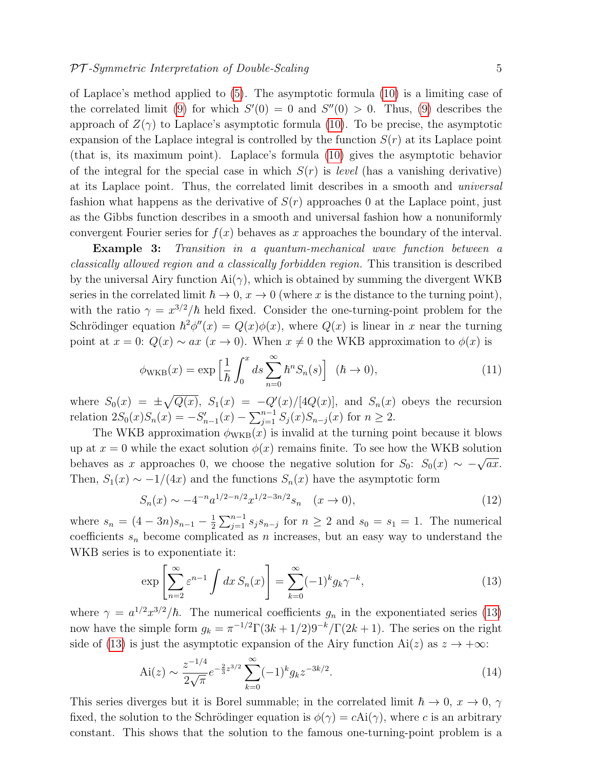of Laplace's method applied to [\(5\)](#page-4-1). The asymptotic formula [\(10\)](#page-4-2) is a limiting case of the correlated limit [\(9\)](#page-4-3) for which  $S'(0) = 0$  and  $S''(0) > 0$ . Thus, (9) describes the approach of  $Z(\gamma)$  to Laplace's asymptotic formula [\(10\)](#page-4-2). To be precise, the asymptotic expansion of the Laplace integral is controlled by the function  $S(r)$  at its Laplace point (that is, its maximum point). Laplace's formula [\(10\)](#page-4-2) gives the asymptotic behavior of the integral for the special case in which  $S(r)$  is *level* (has a vanishing derivative) at its Laplace point. Thus, the correlated limit describes in a smooth and universal fashion what happens as the derivative of  $S(r)$  approaches 0 at the Laplace point, just as the Gibbs function describes in a smooth and universal fashion how a nonuniformly convergent Fourier series for  $f(x)$  behaves as x approaches the boundary of the interval.

**Example 3:** Transition in a quantum-mechanical wave function between a classically allowed region and a classically forbidden region. This transition is described by the universal Airy function  $Ai(\gamma)$ , which is obtained by summing the divergent WKB series in the correlated limit  $\hbar \to 0$ ,  $x \to 0$  (where x is the distance to the turning point), with the ratio  $\gamma = x^{3/2}/\hbar$  held fixed. Consider the one-turning-point problem for the Schrödinger equation  $\hbar^2 \phi''(x) = Q(x)\phi(x)$ , where  $Q(x)$  is linear in x near the turning point at  $x = 0$ :  $Q(x) \sim ax$  ( $x \to 0$ ). When  $x \neq 0$  the WKB approximation to  $\phi(x)$  is

$$
\phi_{\text{WKB}}(x) = \exp\left[\frac{1}{\hbar} \int_0^x ds \sum_{n=0}^\infty \hbar^n S_n(s)\right] \quad (\hbar \to 0),\tag{11}
$$

where  $S_0(x) = \pm \sqrt{Q(x)}$ ,  $S_1(x) = -Q'(x)/[4Q(x)]$ , and  $S_n(x)$  obeys the recursion relation  $2S_0(x)S_n(x) = -S'_{n-1}(x) - \sum_{j=1}^{n-1} S_j(x)S_{n-j}(x)$  for  $n \ge 2$ .

The WKB approximation  $\phi_{\text{WKB}}(x)$  is invalid at the turning point because it blows up at  $x = 0$  while the exact solution  $\phi(x)$  remains finite. To see how the WKB solution behaves as x approaches 0, we choose the negative solution for  $S_0$ :  $S_0(x) \sim -\sqrt{ax}$ . Then,  $S_1(x) \sim -1/(4x)$  and the functions  $S_n(x)$  have the asymptotic form

$$
S_n(x) \sim -4^{-n} a^{1/2 - n/2} x^{1/2 - 3n/2} s_n \quad (x \to 0),
$$
\n(12)

where  $s_n = (4 - 3n)s_{n-1} - \frac{1}{2}$  $\frac{1}{2}\sum_{j=1}^{n-1} s_j s_{n-j}$  for  $n \geq 2$  and  $s_0 = s_1 = 1$ . The numerical coefficients  $s_n$  become complicated as n increases, but an easy way to understand the WKB series is to exponentiate it:

<span id="page-5-0"></span>
$$
\exp\left[\sum_{n=2}^{\infty} \varepsilon^{n-1} \int dx \, S_n(x)\right] = \sum_{k=0}^{\infty} (-1)^k g_k \gamma^{-k},\tag{13}
$$

where  $\gamma = a^{1/2}x^{3/2}/\hbar$ . The numerical coefficients  $g_n$  in the exponentiated series [\(13\)](#page-5-0) now have the simple form  $g_k = \pi^{-1/2} \Gamma(3k + 1/2) 9^{-k} / \Gamma(2k + 1)$ . The series on the right side of [\(13\)](#page-5-0) is just the asymptotic expansion of the Airy function Ai(z) as  $z \to +\infty$ :

$$
\text{Ai}(z) \sim \frac{z^{-1/4}}{2\sqrt{\pi}} e^{-\frac{2}{3}z^{3/2}} \sum_{k=0}^{\infty} (-1)^k g_k z^{-3k/2}.
$$
 (14)

This series diverges but it is Borel summable; in the correlated limit  $\hbar \to 0$ ,  $x \to 0$ ,  $\gamma$ fixed, the solution to the Schrödinger equation is  $\phi(\gamma) = cAi(\gamma)$ , where c is an arbitrary constant. This shows that the solution to the famous one-turning-point problem is a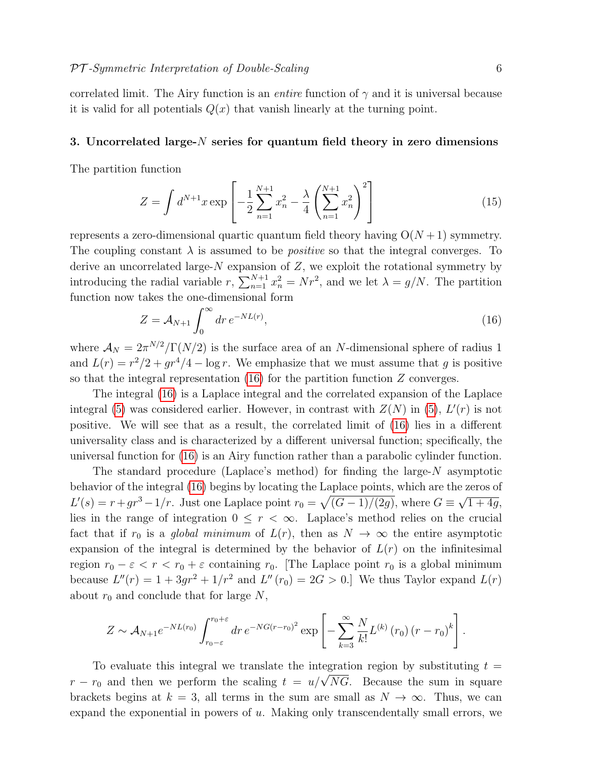correlated limit. The Airy function is an *entire* function of  $\gamma$  and it is universal because it is valid for all potentials  $Q(x)$  that vanish linearly at the turning point.

#### <span id="page-6-0"></span>3. Uncorrelated large- $N$  series for quantum field theory in zero dimensions

The partition function

<span id="page-6-2"></span>
$$
Z = \int d^{N+1}x \exp\left[-\frac{1}{2}\sum_{n=1}^{N+1}x_n^2 - \frac{\lambda}{4}\left(\sum_{n=1}^{N+1}x_n^2\right)^2\right]
$$
(15)

represents a zero-dimensional quartic quantum field theory having  $O(N+1)$  symmetry. The coupling constant  $\lambda$  is assumed to be *positive* so that the integral converges. To derive an uncorrelated large- $N$  expansion of  $Z$ , we exploit the rotational symmetry by introducing the radial variable r,  $\sum_{n=1}^{N+1} x_n^2 = Nr^2$ , and we let  $\lambda = g/N$ . The partition function now takes the one-dimensional form

<span id="page-6-1"></span>
$$
Z = \mathcal{A}_{N+1} \int_0^\infty dr \, e^{-NL(r)},\tag{16}
$$

where  $\mathcal{A}_N = 2\pi^{N/2}/\Gamma(N/2)$  is the surface area of an N-dimensional sphere of radius 1 and  $L(r) = r^2/2 + qr^4/4 - \log r$ . We emphasize that we must assume that g is positive so that the integral representation  $(16)$  for the partition function Z converges.

The integral [\(16\)](#page-6-1) is a Laplace integral and the correlated expansion of the Laplace integral [\(5\)](#page-4-1) was considered earlier. However, in contrast with  $Z(N)$  in (5),  $L'(r)$  is not positive. We will see that as a result, the correlated limit of [\(16\)](#page-6-1) lies in a different universality class and is characterized by a different universal function; specifically, the universal function for [\(16\)](#page-6-1) is an Airy function rather than a parabolic cylinder function.

The standard procedure (Laplace's method) for finding the large- $N$  asymptotic behavior of the integral [\(16\)](#page-6-1) begins by locating the Laplace points, which are the zeros of  $L'(s) = r + qr<sup>3</sup> - 1/r$ . Just one Laplace point  $r_0 = \sqrt{(G-1)/(2g)}$ , where  $G \equiv$ √  $\overline{1 + 4g}$ , lies in the range of integration  $0 \leq r < \infty$ . Laplace's method relies on the crucial fact that if  $r_0$  is a global minimum of  $L(r)$ , then as  $N \to \infty$  the entire asymptotic expansion of the integral is determined by the behavior of  $L(r)$  on the infinitesimal region  $r_0 - \varepsilon < r < r_0 + \varepsilon$  containing  $r_0$ . [The Laplace point  $r_0$  is a global minimum because  $L''(r) = 1 + 3gr^2 + 1/r^2$  and  $L''(r_0) = 2G > 0$ . We thus Taylor expand  $L(r)$ about  $r_0$  and conclude that for large N,

$$
Z \sim A_{N+1} e^{-NL(r_0)} \int_{r_0-\varepsilon}^{r_0+\varepsilon} dr \, e^{-NG(r-r_0)^2} \exp\left[-\sum_{k=3}^{\infty} \frac{N}{k!} L^{(k)}(r_0) (r-r_0)^k\right].
$$

To evaluate this integral we translate the integration region by substituting  $t =$ To evaluate this integral we translate the integration region by substituting  $t = r - r_0$  and then we perform the scaling  $t = u/\sqrt{NG}$ . Because the sum in square brackets begins at  $k = 3$ , all terms in the sum are small as  $N \to \infty$ . Thus, we can expand the exponential in powers of u. Making only transcendentally small errors, we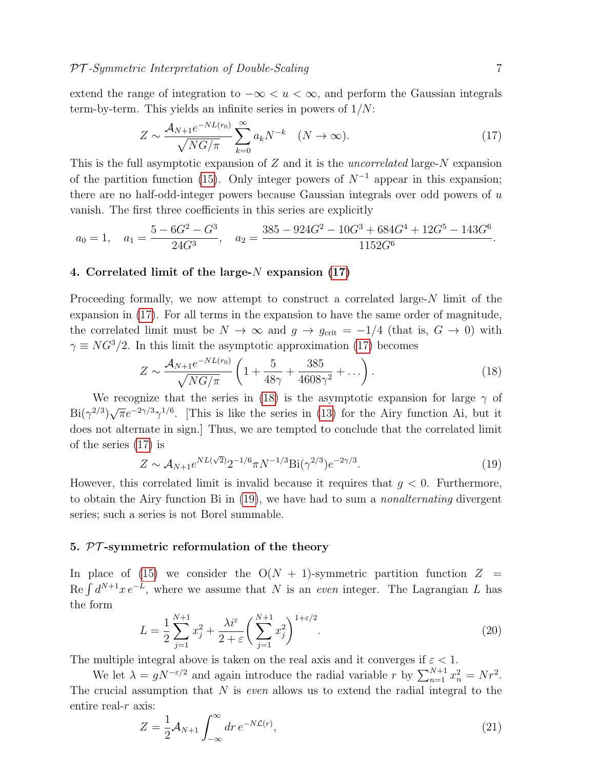extend the range of integration to  $-\infty < u < \infty$ , and perform the Gaussian integrals term-by-term. This yields an infinite series in powers of  $1/N$ :

<span id="page-7-2"></span>
$$
Z \sim \frac{\mathcal{A}_{N+1}e^{-NL(r_0)}}{\sqrt{NG/\pi}} \sum_{k=0}^{\infty} a_k N^{-k} \quad (N \to \infty).
$$
 (17)

This is the full asymptotic expansion of  $Z$  and it is the *uncorrelated* large- $N$  expansion of the partition function [\(15\)](#page-6-2). Only integer powers of  $N^{-1}$  appear in this expansion; there are no half-odd-integer powers because Gaussian integrals over odd powers of  $u$ vanish. The first three coefficients in this series are explicitly

$$
a_0 = 1, \quad a_1 = \frac{5 - 6G^2 - G^3}{24G^3}, \quad a_2 = \frac{385 - 924G^2 - 10G^3 + 684G^4 + 12G^5 - 143G^6}{1152G^6}.
$$

#### <span id="page-7-0"></span>4. Correlated limit of the large- $N$  expansion [\(17\)](#page-7-2)

Proceeding formally, we now attempt to construct a correlated large-N limit of the expansion in [\(17\)](#page-7-2). For all terms in the expansion to have the same order of magnitude, the correlated limit must be  $N \to \infty$  and  $g \to g_{\rm crit} = -1/4$  (that is,  $G \to 0$ ) with  $\gamma \equiv N G^{3}/2$ . In this limit the asymptotic approximation [\(17\)](#page-7-2) becomes

<span id="page-7-3"></span>
$$
Z \sim \frac{\mathcal{A}_{N+1}e^{-NL(r_0)}}{\sqrt{NG/\pi}} \left(1 + \frac{5}{48\gamma} + \frac{385}{4608\gamma^2} + \ldots \right). \tag{18}
$$

We recognize that the series in [\(18\)](#page-7-3) is the asymptotic expansion for large  $\gamma$  of  $\mathrm{Bi}(\gamma^{2/3})$  $\sqrt{\pi}e^{-2\gamma/3}\gamma^{1/6}$ . [This is like the series in [\(13\)](#page-5-0) for the Airy function Ai, but it does not alternate in sign.] Thus, we are tempted to conclude that the correlated limit of the series [\(17\)](#page-7-2) is

<span id="page-7-4"></span>
$$
Z \sim \mathcal{A}_{N+1} e^{NL(\sqrt{2})} 2^{-1/6} \pi N^{-1/3} \text{Bi}(\gamma^{2/3}) e^{-2\gamma/3}.
$$
 (19)

However, this correlated limit is invalid because it requires that  $q < 0$ . Furthermore, to obtain the Airy function Bi in [\(19\)](#page-7-4), we have had to sum a nonalternating divergent series; such a series is not Borel summable.

#### <span id="page-7-1"></span>5.  $PT$ -symmetric reformulation of the theory

In place of [\(15\)](#page-6-2) we consider the  $O(N + 1)$ -symmetric partition function  $Z =$ Re  $\int d^{N+1}x e^{-L}$ , where we assume that N is an even integer. The Lagrangian L has the form

$$
L = \frac{1}{2} \sum_{j=1}^{N+1} x_j^2 + \frac{\lambda i^{\varepsilon}}{2 + \varepsilon} \left( \sum_{j=1}^{N+1} x_j^2 \right)^{1 + \varepsilon/2}.
$$
 (20)

The multiple integral above is taken on the real axis and it converges if  $\varepsilon < 1$ .

We let  $\lambda = gN^{-\epsilon/2}$  and again introduce the radial variable r by  $\sum_{n=1}^{N+1} x_n^2 = Nr^2$ . The crucial assumption that  $N$  is *even* allows us to extend the radial integral to the entire real- $r$  axis:

<span id="page-7-5"></span>
$$
Z = \frac{1}{2} \mathcal{A}_{N+1} \int_{-\infty}^{\infty} dr \, e^{-N\mathcal{L}(r)},\tag{21}
$$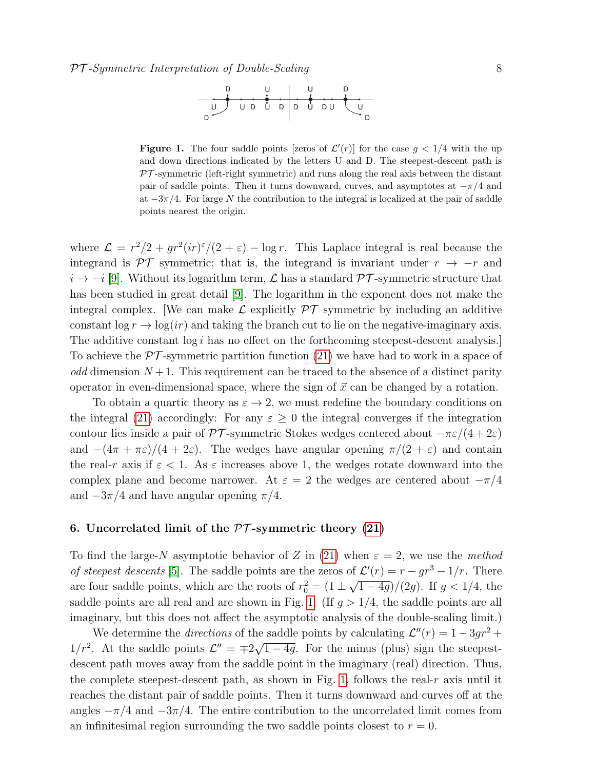

<span id="page-8-1"></span>**Figure 1.** The four saddle points [zeros of  $\mathcal{L}'(r)$ ] for the case  $g < 1/4$  with the up and down directions indicated by the letters U and D. The steepest-descent path is  $PT$ -symmetric (left-right symmetric) and runs along the real axis between the distant pair of saddle points. Then it turns downward, curves, and asymptotes at  $-\pi/4$  and at  $-3\pi/4$ . For large N the contribution to the integral is localized at the pair of saddle points nearest the origin.

where  $\mathcal{L} = r^2/2 + qr^2(ir)^{\epsilon}/(2+\epsilon) - \log r$ . This Laplace integral is real because the integrand is  $\mathcal{PT}$  symmetric; that is, the integrand is invariant under  $r \rightarrow -r$  and  $i \to -i$  [\[9\]](#page-10-8). Without its logarithm term,  $\mathcal L$  has a standard  $\mathcal PT$ -symmetric structure that has been studied in great detail [\[9\]](#page-10-8). The logarithm in the exponent does not make the integral complex. We can make  $\mathcal L$  explicitly  $\mathcal PT$  symmetric by including an additive constant  $\log r \to \log(ir)$  and taking the branch cut to lie on the negative-imaginary axis. The additive constant  $log i$  has no effect on the forthcoming steepest-descent analysis. To achieve the  $\mathcal{PT}$ -symmetric partition function [\(21\)](#page-7-5) we have had to work in a space of odd dimension  $N+1$ . This requirement can be traced to the absence of a distinct parity operator in even-dimensional space, where the sign of  $\vec{x}$  can be changed by a rotation.

To obtain a quartic theory as  $\varepsilon \to 2$ , we must redefine the boundary conditions on the integral [\(21\)](#page-7-5) accordingly: For any  $\varepsilon \geq 0$  the integral converges if the integration contour lies inside a pair of  $\mathcal{PT}$ -symmetric Stokes wedges centered about  $-\pi \varepsilon/(4+2\varepsilon)$ and  $-(4\pi + \pi \varepsilon)/(4 + 2\varepsilon)$ . The wedges have angular opening  $\pi/(2 + \varepsilon)$  and contain the real-r axis if  $\varepsilon < 1$ . As  $\varepsilon$  increases above 1, the wedges rotate downward into the complex plane and become narrower. At  $\varepsilon = 2$  the wedges are centered about  $-\pi/4$ and  $-3\pi/4$  and have angular opening  $\pi/4$ .

#### <span id="page-8-0"></span>6. Uncorrelated limit of the  $PT$ -symmetric theory [\(21\)](#page-7-5)

To find the large-N asymptotic behavior of Z in [\(21\)](#page-7-5) when  $\varepsilon = 2$ , we use the method of steepest descents [\[5\]](#page-10-4). The saddle points are the zeros of  $\mathcal{L}'(r) = r - qr^3 - 1/r$ . There are four saddle points, which are the roots of  $r_0^2 = (1 \pm \frac{1}{2})$ √  $\sqrt{1-4g}/(2g)$ . If  $g < 1/4$ , the saddle points are all real and are shown in Fig. [1.](#page-8-1) (If  $g > 1/4$ , the saddle points are all imaginary, but this does not affect the asymptotic analysis of the double-scaling limit.)

We determine the *directions* of the saddle points by calculating  $\mathcal{L}''(r) = 1 - 3gr^2 +$ 1/ $r^2$ . At the saddle points  $\mathcal{L}'' = \pm 2\sqrt{ }$  $\overline{1-4g}$ . For the minus (plus) sign the steepestdescent path moves away from the saddle point in the imaginary (real) direction. Thus, the complete steepest-descent path, as shown in Fig. [1,](#page-8-1) follows the real-r axis until it reaches the distant pair of saddle points. Then it turns downward and curves off at the angles  $-\pi/4$  and  $-3\pi/4$ . The entire contribution to the uncorrelated limit comes from an infinitesimal region surrounding the two saddle points closest to  $r = 0$ .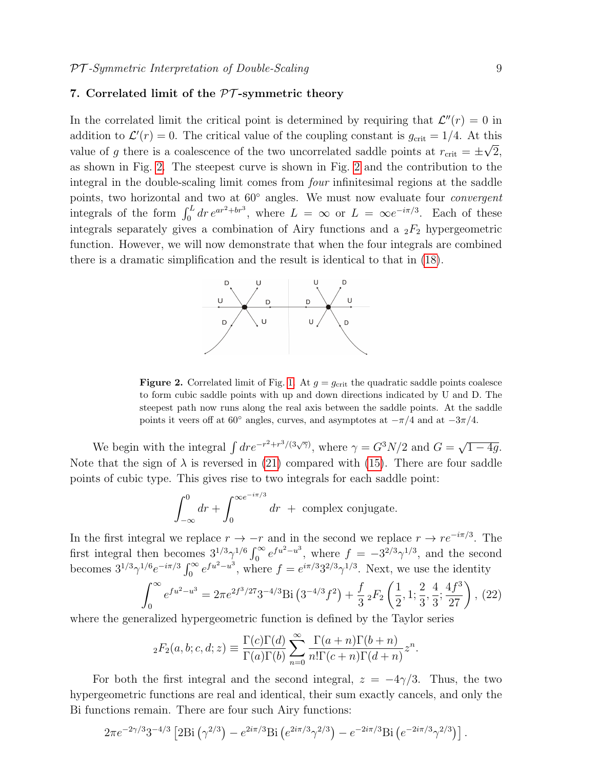#### <span id="page-9-0"></span>7. Correlated limit of the  $\mathcal{PT}$ -symmetric theory

In the correlated limit the critical point is determined by requiring that  $\mathcal{L}''(r) = 0$  in addition to  $\mathcal{L}'(r) = 0$ . The critical value of the coupling constant is  $g_{\text{crit}} = 1/4$ . At this value of g there is a coalescence of the two uncorrelated saddle points at  $r_{\text{crit}} = \pm \sqrt{2}$ , as shown in Fig. [2.](#page-9-1) The steepest curve is shown in Fig. [2](#page-9-1) and the contribution to the integral in the double-scaling limit comes from four infinitesimal regions at the saddle points, two horizontal and two at  $60°$  angles. We must now evaluate four *convergent* integrals of the form  $\int_0^L dr e^{ar^2 + br^3}$ , where  $L = \infty$  or  $L = \infty e^{-i\pi/3}$ . Each of these integrals separately gives a combination of Airy functions and a  $_2F_2$  hypergeometric function. However, we will now demonstrate that when the four integrals are combined there is a dramatic simplification and the result is identical to that in [\(18\)](#page-7-3).



<span id="page-9-1"></span>**Figure 2.** Correlated limit of Fig. [1.](#page-8-1) At  $g = g_{\text{crit}}$  the quadratic saddle points coalesce to form cubic saddle points with up and down directions indicated by U and D. The steepest path now runs along the real axis between the saddle points. At the saddle points it veers off at 60 $\degree$  angles, curves, and asymptotes at  $-\pi/4$  and at  $-3\pi/4$ .

We begin with the integral  $\int dr e^{-r^2+r^3/(3\sqrt{\gamma})}$ , where  $\gamma = G^3 N/2$  and  $G = \sqrt{\frac{G^3 N}{2}}$  $\overline{1-4g}$ . Note that the sign of  $\lambda$  is reversed in [\(21\)](#page-7-5) compared with [\(15\)](#page-6-2). There are four saddle points of cubic type. This gives rise to two integrals for each saddle point:

$$
\int_{-\infty}^{0} dr + \int_{0}^{\infty e^{-i\pi/3}} dr + \text{ complex conjugate.}
$$

In the first integral we replace  $r \to -r$  and in the second we replace  $r \to re^{-i\pi/3}$ . The first integral then becomes  $3^{1/3}\gamma^{1/6}\int_0^\infty e^{fu^2-u^3}$ , where  $f = -3^{2/3}\gamma^{1/3}$ , and the second becomes  $3^{1/3}\gamma^{1/6}e^{-i\pi/3}\int_0^\infty e^{fu^2-u^3}$ , where  $f=e^{i\pi/3}3^{2/3}\gamma^{1/3}$ . Next, we use the identity

$$
\int_0^\infty e^{fu^2 - u^3} = 2\pi e^{2f^3/27} 3^{-4/3} \text{Bi}\left(3^{-4/3}f^2\right) + \frac{f}{3} \, _2F_2\left(\frac{1}{2}, 1; \frac{2}{3}, \frac{4}{3}; \frac{4f^3}{27}\right),\, (22)
$$

where the generalized hypergeometric function is defined by the Taylor series

$$
{}_2F_2(a,b;c,d;z) \equiv \frac{\Gamma(c)\Gamma(d)}{\Gamma(a)\Gamma(b)} \sum_{n=0}^{\infty} \frac{\Gamma(a+n)\Gamma(b+n)}{n!\Gamma(c+n)\Gamma(d+n)} z^n.
$$

For both the first integral and the second integral,  $z = -4\gamma/3$ . Thus, the two hypergeometric functions are real and identical, their sum exactly cancels, and only the Bi functions remain. There are four such Airy functions:

$$
2\pi e^{-2\gamma/3}3^{-4/3}\left[2\text{Bi}\left(\gamma^{2/3}\right)-e^{2i\pi/3}\text{Bi}\left(e^{2i\pi/3}\gamma^{2/3}\right)-e^{-2i\pi/3}\text{Bi}\left(e^{-2i\pi/3}\gamma^{2/3}\right)\right].
$$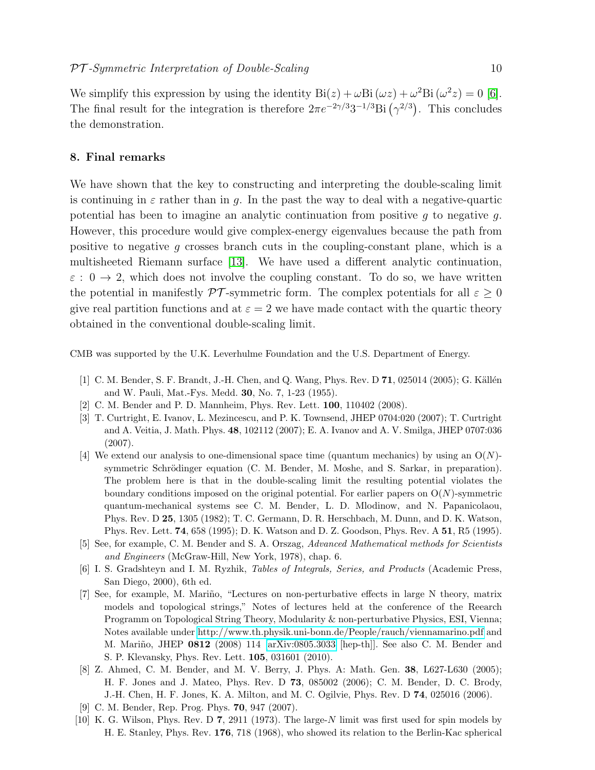We simplify this expression by using the identity  $\text{Bi}(z) + \omega \text{Bi}(\omega z) + \omega^2 \text{Bi}(\omega^2 z) = 0$  [\[6\]](#page-10-5). The final result for the integration is therefore  $2\pi e^{-2\gamma/3}3^{-1/3}$ Bi  $(\gamma^{2/3})$ . This concludes the demonstration.

#### <span id="page-10-9"></span>8. Final remarks

We have shown that the key to constructing and interpreting the double-scaling limit is continuing in  $\varepsilon$  rather than in q. In the past the way to deal with a negative-quartic potential has been to imagine an analytic continuation from positive  $g$  to negative  $g$ . However, this procedure would give complex-energy eigenvalues because the path from positive to negative g crosses branch cuts in the coupling-constant plane, which is a multisheeted Riemann surface [\[13\]](#page-11-2). We have used a different analytic continuation,  $\varepsilon$  :  $0 \to 2$ , which does not involve the coupling constant. To do so, we have written the potential in manifestly  $\mathcal{PT}$ -symmetric form. The complex potentials for all  $\varepsilon \geq 0$ give real partition functions and at  $\varepsilon = 2$  we have made contact with the quartic theory obtained in the conventional double-scaling limit.

CMB was supported by the U.K. Leverhulme Foundation and the U.S. Department of Energy.

- <span id="page-10-0"></span>[1] C. M. Bender, S. F. Brandt, J.-H. Chen, and Q. Wang, Phys. Rev. D  $71$ , 025014 (2005); G. Källén and W. Pauli, Mat.-Fys. Medd. 30, No. 7, 1-23 (1955).
- <span id="page-10-1"></span>[2] C. M. Bender and P. D. Mannheim, Phys. Rev. Lett. 100, 110402 (2008).
- <span id="page-10-2"></span>[3] T. Curtright, E. Ivanov, L. Mezincescu, and P. K. Townsend, JHEP 0704:020 (2007); T. Curtright and A. Veitia, J. Math. Phys. 48, 102112 (2007); E. A. Ivanov and A. V. Smilga, JHEP 0707:036 (2007).
- <span id="page-10-3"></span>[4] We extend our analysis to one-dimensional space time (quantum mechanics) by using an  $O(N)$ symmetric Schrödinger equation (C. M. Bender, M. Moshe, and S. Sarkar, in preparation). The problem here is that in the double-scaling limit the resulting potential violates the boundary conditions imposed on the original potential. For earlier papers on  $O(N)$ -symmetric quantum-mechanical systems see C. M. Bender, L. D. Mlodinow, and N. Papanicolaou, Phys. Rev. D 25, 1305 (1982); T. C. Germann, D. R. Herschbach, M. Dunn, and D. K. Watson, Phys. Rev. Lett. 74, 658 (1995); D. K. Watson and D. Z. Goodson, Phys. Rev. A 51, R5 (1995).
- <span id="page-10-4"></span>[5] See, for example, C. M. Bender and S. A. Orszag, Advanced Mathematical methods for Scientists and Engineers (McGraw-Hill, New York, 1978), chap. 6.
- <span id="page-10-5"></span>[6] I. S. Gradshteyn and I. M. Ryzhik, Tables of Integrals, Series, and Products (Academic Press, San Diego, 2000), 6th ed.
- <span id="page-10-6"></span>[7] See, for example, M. Mariño, "Lectures on non-perturbative effects in large N theory, matrix models and topological strings," Notes of lectures held at the conference of the Reearch Programm on Topological String Theory, Modularity & non-perturbative Physics, ESI, Vienna; Notes available under<http://www.th.physik.uni-bonn.de/People/rauch/viennamarino.pdf> and M. Mariño, JHEP 0812 (2008) 114 [\[arXiv:0805.3033](http://arxiv.org/abs/0805.3033) [hep-th]]. See also C. M. Bender and S. P. Klevansky, Phys. Rev. Lett. 105, 031601 (2010).
- <span id="page-10-7"></span>[8] Z. Ahmed, C. M. Bender, and M. V. Berry, J. Phys. A: Math. Gen. 38, L627-L630 (2005); H. F. Jones and J. Mateo, Phys. Rev. D 73, 085002 (2006); C. M. Bender, D. C. Brody, J.-H. Chen, H. F. Jones, K. A. Milton, and M. C. Ogilvie, Phys. Rev. D 74, 025016 (2006).
- <span id="page-10-8"></span>[9] C. M. Bender, Rep. Prog. Phys. 70, 947 (2007).
- <span id="page-10-10"></span>[10] K. G. Wilson, Phys. Rev. D 7, 2911 (1973). The large-N limit was first used for spin models by H. E. Stanley, Phys. Rev. 176, 718 (1968), who showed its relation to the Berlin-Kac spherical